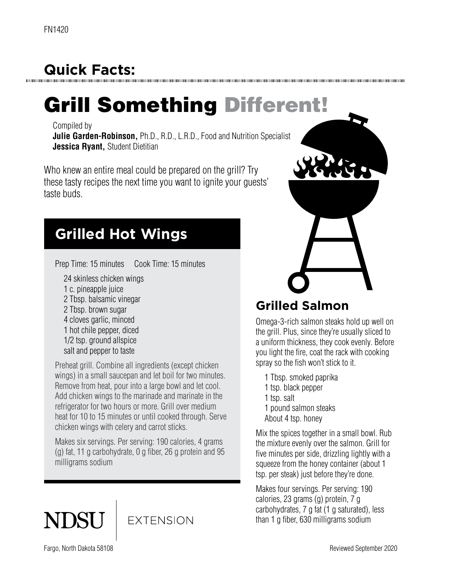## **Quick Facts:**

# Grill Something Different!

Compiled by

**Julie Garden-Robinson,** Ph.D., R.D., L.R.D., Food and Nutrition Specialist **Jessica Ryant,** Student Dietitian

Who knew an entire meal could be prepared on the grill? Try these tasty recipes the next time you want to ignite your guests' taste buds.

### **Grilled Hot Wings**

Prep Time: 15 minutes Cook Time: 15 minutes

- 24 skinless chicken wings
- 1 c. pineapple juice
- 2 Tbsp. balsamic vinegar
- 2 Tbsp. brown sugar
- 4 cloves garlic, minced
- 1 hot chile pepper, diced
- 1/2 tsp. ground allspice
- salt and pepper to taste

Preheat grill. Combine all ingredients (except chicken wings) in a small saucepan and let boil for two minutes. Remove from heat, pour into a large bowl and let cool. Add chicken wings to the marinade and marinate in the refrigerator for two hours or more. Grill over medium heat for 10 to 15 minutes or until cooked through. Serve chicken wings with celery and carrot sticks.

Makes six servings. Per serving: 190 calories, 4 grams (g) fat, 11 g carbohydrate, 0 g fiber, 26 g protein and 95 milligrams sodium





#### **Grilled Salmon**

Omega-3-rich salmon steaks hold up well on the grill. Plus, since they're usually sliced to a uniform thickness, they cook evenly. Before you light the fire, coat the rack with cooking spray so the fish won't stick to it.

1 Tbsp. smoked paprika

- 1 tsp. black pepper
- 1 tsp. salt
- 1 pound salmon steaks
- About 4 tsp. honey

Mix the spices together in a small bowl. Rub the mixture evenly over the salmon. Grill for five minutes per side, drizzling lightly with a squeeze from the honey container (about 1 tsp. per steak) just before they're done.

Makes four servings. Per serving: 190 calories, 23 grams (g) protein, 7 g carbohydrates, 7 g fat (1 g saturated), less than 1 g fiber, 630 milligrams sodium